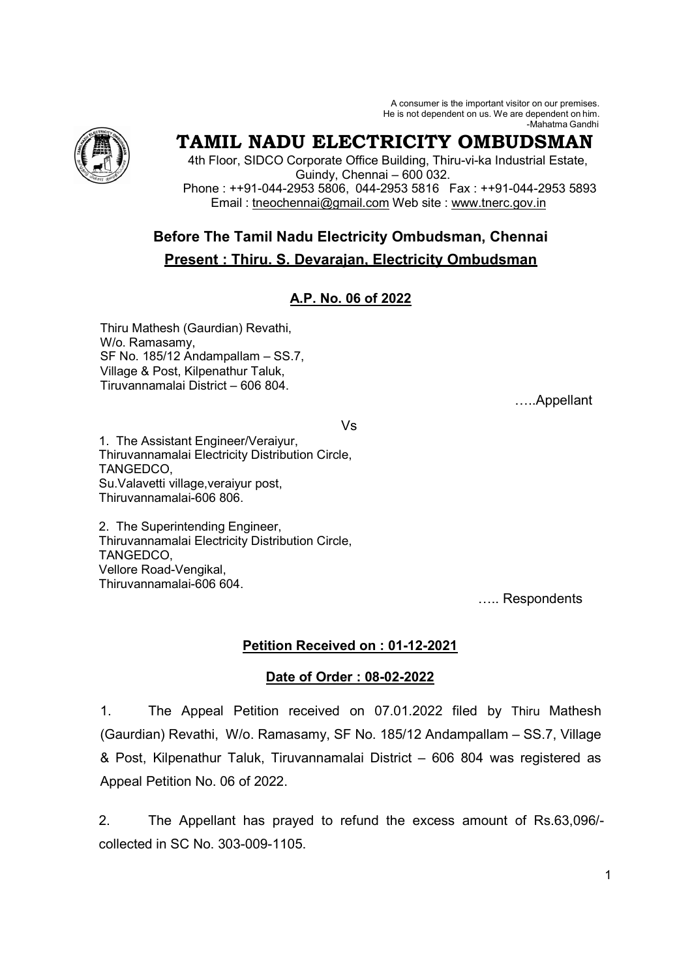A consumer is the important visitor on our premises. He is not dependent on us. We are dependent on him. -Mahatma Gandhi



# **TAMIL NADU ELECTRICITY OMBUDSMAN**

 4th Floor, SIDCO Corporate Office Building, Thiru-vi-ka Industrial Estate, Guindy, Chennai – 600 032. Phone : ++91-044-2953 5806, 044-2953 5816 Fax : ++91-044-2953 5893 Email : tneochennai@gmail.com Web site : www.tnerc.gov.in

## **Before The Tamil Nadu Electricity Ombudsman, Chennai Present : Thiru. S. Devarajan, Electricity Ombudsman**

## **A.P. No. 06 of 2022**

Thiru Mathesh (Gaurdian) Revathi, W/o. Ramasamy, SF No. 185/12 Andampallam – SS.7, Village & Post, Kilpenathur Taluk, Tiruvannamalai District – 606 804.

A..Appellant

Vs

1. The Assistant Engineer/Veraiyur, Thiruvannamalai Electricity Distribution Circle, TANGEDCO, Su.Valavetti village,veraiyur post, Thiruvannamalai-606 806.

2. The Superintending Engineer, Thiruvannamalai Electricity Distribution Circle, **TANGEDCO** Vellore Road-Vengikal, Thiruvannamalai-606 604.

..... Respondents

### **Petition Received on : 01-12-2021**

### **Date of Order : 08-02-2022**

1. The Appeal Petition received on 07.01.2022 filed by Thiru Mathesh (Gaurdian) Revathi, W/o. Ramasamy, SF No. 185/12 Andampallam – SS.7, Village & Post, Kilpenathur Taluk, Tiruvannamalai District – 606 804 was registered as Appeal Petition No. 06 of 2022.

2. The Appellant has prayed to refund the excess amount of Rs.63,096/ collected in SC No. 303-009-1105.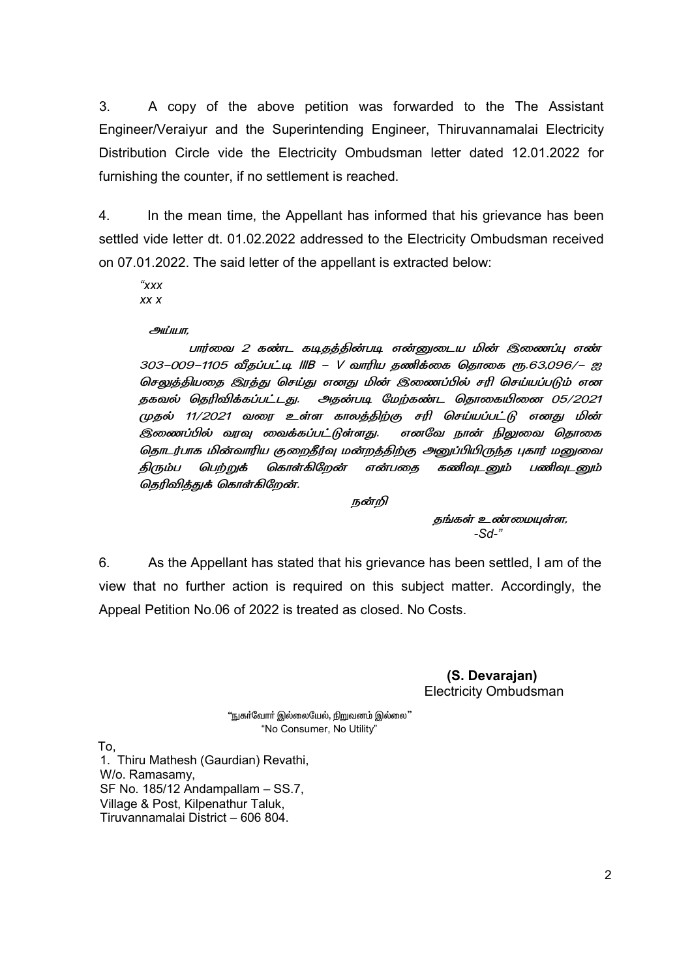3. A copy of the above petition was forwarded to the The Assistant Engineer/Veraiyur and the Superintending Engineer, Thiruvannamalai Electricity Distribution Circle vide the Electricity Ombudsman letter dated 12.01.2022 for furnishing the counter, if no settlement is reached.

4. In the mean time, the Appellant has informed that his grievance has been settled vide letter dt. 01.02.2022 addressed to the Electricity Ombudsman received on 07.01.2022. The said letter of the appellant is extracted below:

*"xxx xx x* 

அப்யா,

பார்வை 2 கண்ட கடிதத்தின்படி என்னுடைய மின் இணைப்பு எண் 303–009–1105 வீதப்பட்டி IIIB – V வாரிய தணிக்கை தொகை ரூ.63,096/– ஐ செலுத்தியதை இரத்து செய்து எனது மின் இணைப்பில் சரி செய்யப்படும் என தகவல் தெரிவிக்கப்பட்டது. அதன்படி மேற்கண்ட தொகையினை 05/2021 முதல் 11/2021 வரை உள்ள காலத்திற்கு சரி செய்யப்பட்டு எனது மின் இணைப்பில் வரவு வைக்கப்பட்டுள்ளது. எனவே ட நான் நிலுவை தொகை தொடர்பாக மின்வாரிய குறைதீர்வு மன்றத்திற்கு அனுப்பியிருந்த புகார் மனுவை திரும்ப பெற்றுக் கொள்கிறேன் என்பதை கணிவுடனும் பணிவுடனும் தெரிவித்துக் கொள்கிறேன்.

நன்றி

தங்கள் உண்மையுள்ள, *-Sd-"* 

6. As the Appellant has stated that his grievance has been settled, I am of the view that no further action is required on this subject matter. Accordingly, the Appeal Petition No.06 of 2022 is treated as closed. No Costs.

> **(S. Devarajan)**  Electricity Ombudsman

"நுகா்வோா் இல்லையேல், நிறுவனம் இல்லை" "No Consumer, No Utility"

To,

1. Thiru Mathesh (Gaurdian) Revathi, W/o. Ramasamy, SF No. 185/12 Andampallam – SS.7, Village & Post, Kilpenathur Taluk, Tiruvannamalai District – 606 804.